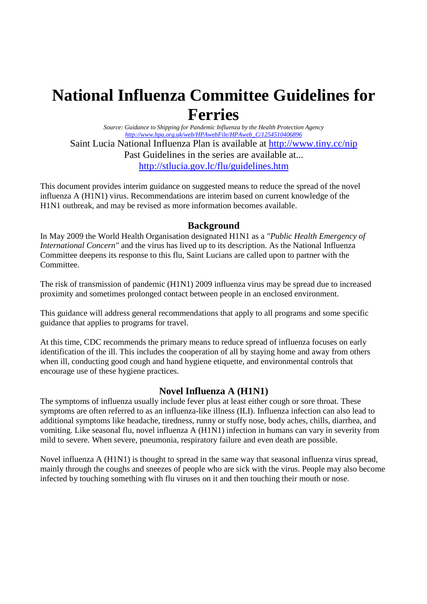# **National Influenza Committee Guidelines for Ferries**

*Source: Guidance to Shipping for Pandemic Influenza by the Health Protection Agency http://www.hpa.org.uk/web/HPAwebFile/HPAweb\_C/1254510406896*  Saint Lucia National Influenza Plan is available at http://www.tiny.cc/nip Past Guidelines in the series are available at... http://stlucia.gov.lc/flu/guidelines.htm

This document provides interim guidance on suggested means to reduce the spread of the novel influenza A (H1N1) virus. Recommendations are interim based on current knowledge of the H1N1 outbreak, and may be revised as more information becomes available.

# **Background**

In May 2009 the World Health Organisation designated H1N1 as a *"Public Health Emergency of International Concern"* and the virus has lived up to its description. As the National Influenza Committee deepens its response to this flu, Saint Lucians are called upon to partner with the Committee.

The risk of transmission of pandemic (H1N1) 2009 influenza virus may be spread due to increased proximity and sometimes prolonged contact between people in an enclosed environment.

This guidance will address general recommendations that apply to all programs and some specific guidance that applies to programs for travel.

At this time, CDC recommends the primary means to reduce spread of influenza focuses on early identification of the ill. This includes the cooperation of all by staying home and away from others when ill, conducting good cough and hand hygiene etiquette, and environmental controls that encourage use of these hygiene practices.

# **Novel Influenza A (H1N1)**

The symptoms of influenza usually include fever plus at least either cough or sore throat. These symptoms are often referred to as an influenza-like illness (ILI). Influenza infection can also lead to additional symptoms like headache, tiredness, runny or stuffy nose, body aches, chills, diarrhea, and vomiting. Like seasonal flu, novel influenza A (H1N1) infection in humans can vary in severity from mild to severe. When severe, pneumonia, respiratory failure and even death are possible.

Novel influenza A (H1N1) is thought to spread in the same way that seasonal influenza virus spread, mainly through the coughs and sneezes of people who are sick with the virus. People may also become infected by touching something with flu viruses on it and then touching their mouth or nose.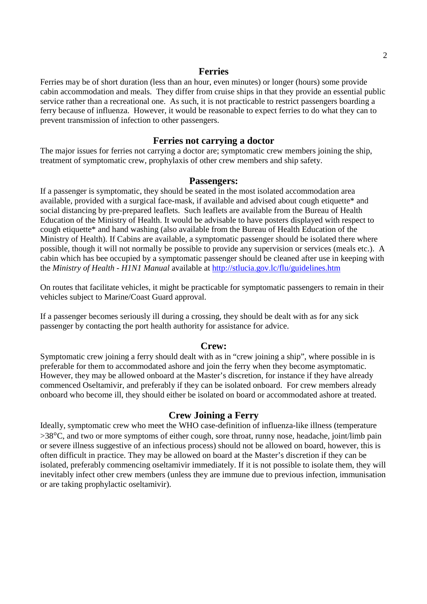#### **Ferries**

Ferries may be of short duration (less than an hour, even minutes) or longer (hours) some provide cabin accommodation and meals. They differ from cruise ships in that they provide an essential public service rather than a recreational one. As such, it is not practicable to restrict passengers boarding a ferry because of influenza. However, it would be reasonable to expect ferries to do what they can to prevent transmission of infection to other passengers.

### **Ferries not carrying a doctor**

The major issues for ferries not carrying a doctor are; symptomatic crew members joining the ship, treatment of symptomatic crew, prophylaxis of other crew members and ship safety.

#### **Passengers:**

If a passenger is symptomatic, they should be seated in the most isolated accommodation area available, provided with a surgical face-mask, if available and advised about cough etiquette\* and social distancing by pre-prepared leaflets. Such leaflets are available from the Bureau of Health Education of the Ministry of Health. It would be advisable to have posters displayed with respect to cough etiquette\* and hand washing (also available from the Bureau of Health Education of the Ministry of Health). If Cabins are available, a symptomatic passenger should be isolated there where possible, though it will not normally be possible to provide any supervision or services (meals etc.). A cabin which has bee occupied by a symptomatic passenger should be cleaned after use in keeping with the *Ministry of Health - H1N1 Manual* available at http://stlucia.gov.lc/flu/guidelines.htm

On routes that facilitate vehicles, it might be practicable for symptomatic passengers to remain in their vehicles subject to Marine/Coast Guard approval.

If a passenger becomes seriously ill during a crossing, they should be dealt with as for any sick passenger by contacting the port health authority for assistance for advice.

#### **Crew:**

Symptomatic crew joining a ferry should dealt with as in "crew joining a ship", where possible in is preferable for them to accommodated ashore and join the ferry when they become asymptomatic. However, they may be allowed onboard at the Master's discretion, for instance if they have already commenced Oseltamivir, and preferably if they can be isolated onboard. For crew members already onboard who become ill, they should either be isolated on board or accommodated ashore at treated.

#### **Crew Joining a Ferry**

Ideally, symptomatic crew who meet the WHO case-definition of influenza-like illness (temperature >38°C, and two or more symptoms of either cough, sore throat, runny nose, headache, joint/limb pain or severe illness suggestive of an infectious process) should not be allowed on board, however, this is often difficult in practice. They may be allowed on board at the Master's discretion if they can be isolated, preferably commencing oseltamivir immediately. If it is not possible to isolate them, they will inevitably infect other crew members (unless they are immune due to previous infection, immunisation or are taking prophylactic oseltamivir).